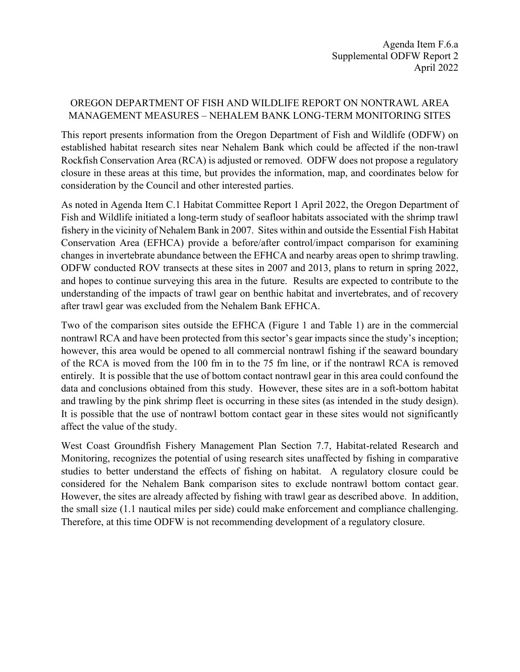## OREGON DEPARTMENT OF FISH AND WILDLIFE REPORT ON NONTRAWL AREA MANAGEMENT MEASURES – NEHALEM BANK LONG-TERM MONITORING SITES

This report presents information from the Oregon Department of Fish and Wildlife (ODFW) on established habitat research sites near Nehalem Bank which could be affected if the non-trawl Rockfish Conservation Area (RCA) is adjusted or removed. ODFW does not propose a regulatory closure in these areas at this time, but provides the information, map, and coordinates below for consideration by the Council and other interested parties.

As noted in Agenda Item C.1 Habitat Committee Report 1 April 2022, the Oregon Department of Fish and Wildlife initiated a long-term study of seafloor habitats associated with the shrimp trawl fishery in the vicinity of Nehalem Bank in 2007. Sites within and outside the Essential Fish Habitat Conservation Area (EFHCA) provide a before/after control/impact comparison for examining changes in invertebrate abundance between the EFHCA and nearby areas open to shrimp trawling. ODFW conducted ROV transects at these sites in 2007 and 2013, plans to return in spring 2022, and hopes to continue surveying this area in the future. Results are expected to contribute to the understanding of the impacts of trawl gear on benthic habitat and invertebrates, and of recovery after trawl gear was excluded from the Nehalem Bank EFHCA.

Two of the comparison sites outside the EFHCA (Figure 1 and Table 1) are in the commercial nontrawl RCA and have been protected from this sector's gear impacts since the study's inception; however, this area would be opened to all commercial nontrawl fishing if the seaward boundary of the RCA is moved from the 100 fm in to the 75 fm line, or if the nontrawl RCA is removed entirely. It is possible that the use of bottom contact nontrawl gear in this area could confound the data and conclusions obtained from this study. However, these sites are in a soft-bottom habitat and trawling by the pink shrimp fleet is occurring in these sites (as intended in the study design). It is possible that the use of nontrawl bottom contact gear in these sites would not significantly affect the value of the study.

West Coast Groundfish Fishery Management Plan Section 7.7, Habitat-related Research and Monitoring, recognizes the potential of using research sites unaffected by fishing in comparative studies to better understand the effects of fishing on habitat. A regulatory closure could be considered for the Nehalem Bank comparison sites to exclude nontrawl bottom contact gear. However, the sites are already affected by fishing with trawl gear as described above. In addition, the small size (1.1 nautical miles per side) could make enforcement and compliance challenging. Therefore, at this time ODFW is not recommending development of a regulatory closure.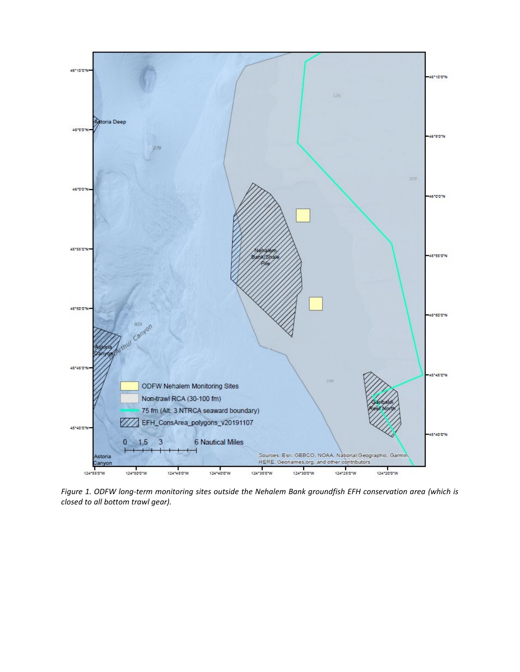

*Figure 1. ODFW long-term monitoring sites outside the Nehalem Bank groundfish EFH conservation area (which is closed to all bottom trawl gear).*